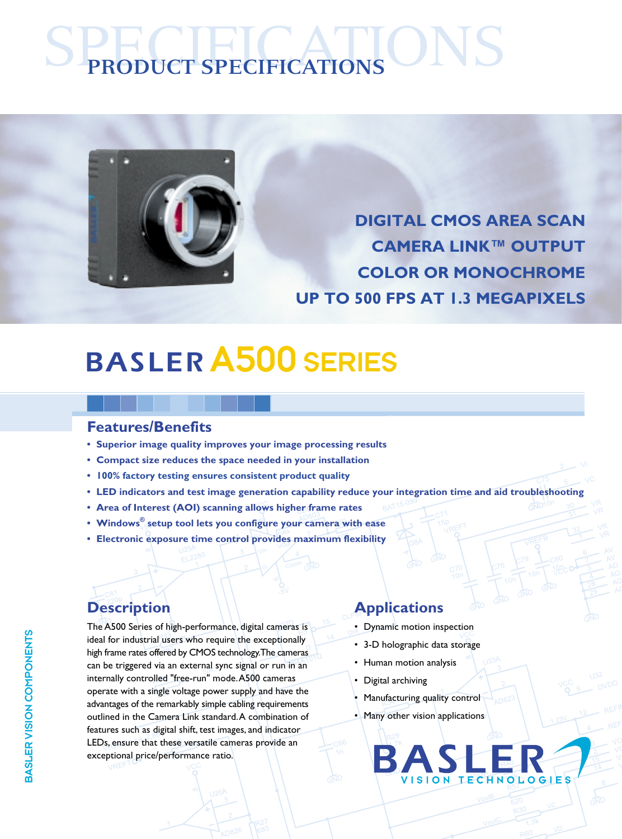# SPECIFICATIONS **PRODUCT SPECIFICATIONS**



**DIGITAL CMOS AREA SCAN CAMERA LINK™ OUTPUT COLOR OR MONOCHROME UP TO 500 FPS AT 1.3 MEGAPIXELS**

## A500 SERIES

#### **Features/Benefits**

- **Superior image quality improves your image processing results**
- **Compact size reduces the space needed in your installation**
- **• 100% factory testing ensures consistent product quality**
- **LED indicators and test image generation capability reduce your integration time and aid troubleshooting**
- **Area of Interest (AOI) scanning allows higher frame rates**
- **Windows® setup tool lets you configure your camera with ease**
- **Electronic exposure time control provides maximum flexibility**

The A500 Series of high-performance, digital cameras is ideal for industrial users who require the exceptionally high frame rates offered by CMOS technology. The cameras can be triggered via an external sync signal or run in an internally controlled "free-run" mode. A500 cameras operate with a single voltage power supply and have the advantages of the remarkably simple cabling requirements outlined in the Camera Link standard. A combination of features such as digital shift, test images, and indicator LEDs, ensure that these versatile cameras provide an exceptional price/performance ratio.

### **Description Applications**

- Dynamic motion inspection
- 3-D holographic data storage
- Human motion analysis
- Digital archiving
- Manufacturing quality control
- Many other vision applications